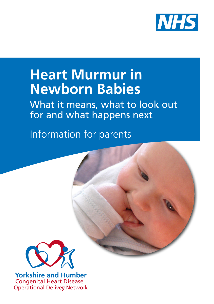

# **Heart Murmur in Newborn Babies**

What it means, what to look out for and what happens next

Information for parents



**Yorkshire and Humber** Congenital Heart Disease **Operational Deliver Network**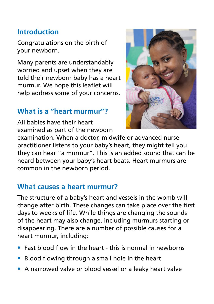## **Introduction**

Congratulations on the birth of your newborn.

Many parents are understandably worried and upset when they are told their newborn baby has a heart murmur. We hope this leaflet will help address some of your concerns.

## **What is a "heart murmur"?**

All babies have their heart examined as part of the newborn



examination. When a doctor, midwife or advanced nurse practitioner listens to your baby's heart, they might tell you they can hear "a murmur". This is an added sound that can be heard between your baby's heart beats. Heart murmurs are common in the newborn period.

#### **What causes a heart murmur?**

The structure of a baby's heart and vessels in the womb will change after birth. These changes can take place over the first days to weeks of life. While things are changing the sounds of the heart may also change, including murmurs starting or disappearing. There are a number of possible causes for a heart murmur, including:

- Fast blood flow in the heart this is normal in newborns
- Blood flowing through a small hole in the heart
- A narrowed valve or blood vessel or a leaky heart valve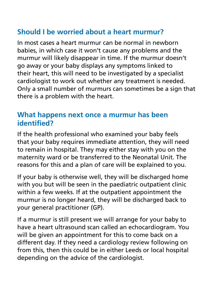# **Should I be worried about a heart murmur?**

In most cases a heart murmur can be normal in newborn babies, in which case it won't cause any problems and the murmur will likely disappear in time. If the murmur doesn't go away or your baby displays any symptoms linked to their heart, this will need to be investigated by a specialist cardiologist to work out whether any treatment is needed. Only a small number of murmurs can sometimes be a sign that there is a problem with the heart.

## **What happens next once a murmur has been identified?**

If the health professional who examined your baby feels that your baby requires immediate attention, they will need to remain in hospital. They may either stay with you on the maternity ward or be transferred to the Neonatal Unit. The reasons for this and a plan of care will be explained to you.

If your baby is otherwise well, they will be discharged home with you but will be seen in the paediatric outpatient clinic within a few weeks. If at the outpatient appointment the murmur is no longer heard, they will be discharged back to your general practitioner (GP).

If a murmur is still present we will arrange for your baby to have a heart ultrasound scan called an echocardiogram. You will be given an appointment for this to come back on a different day. If they need a cardiology review following on from this, then this could be in either Leeds or local hospital depending on the advice of the cardiologist.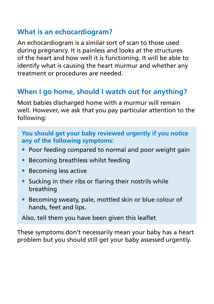## **What is an echocardiogram?**

An echocardiogram is a similar sort of scan to those used during pregnancy. It is painless and looks at the structures of the heart and how well it is functioning. It will be able to identify what is causing the heart murmur and whether any treatment or procedures are needed.

# **When I go home, should I watch out for anything?**

Most babies discharged home with a murmur will remain well. However, we ask that you pay particular attention to the following:

#### **You should get your baby reviewed urgently if you notice any of the following symptoms:**

- Poor feeding compared to normal and poor weight gain
- Becoming breathless whilst feeding
- Becoming less active
- Sucking in their ribs or flaring their nostrils while breathing
- Becoming sweaty, pale, mottled skin or blue colour of hands, feet and lips.

Also, tell them you have been given this leaflet

These symptoms don't necessarily mean your baby has a heart problem but you should still get your baby assessed urgently.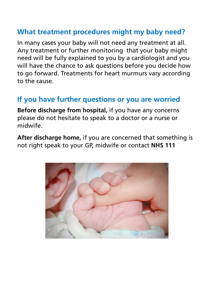## **What treatment procedures might my baby need?**

In many cases your baby will not need any treatment at all. Any treatment or further monitoring that your baby might need will be fully explained to you by a cardiologist and you will have the chance to ask questions before you decide how to go forward. Treatments for heart murmurs vary according to the cause.

#### **If you have further questions or you are worried**

**Before discharge from hospital,** if you have any concerns please do not hesitate to speak to a doctor or a nurse or midwife.

**After discharge home,** if you are concerned that something is not right speak to your GP, midwife or contact **NHS 111**